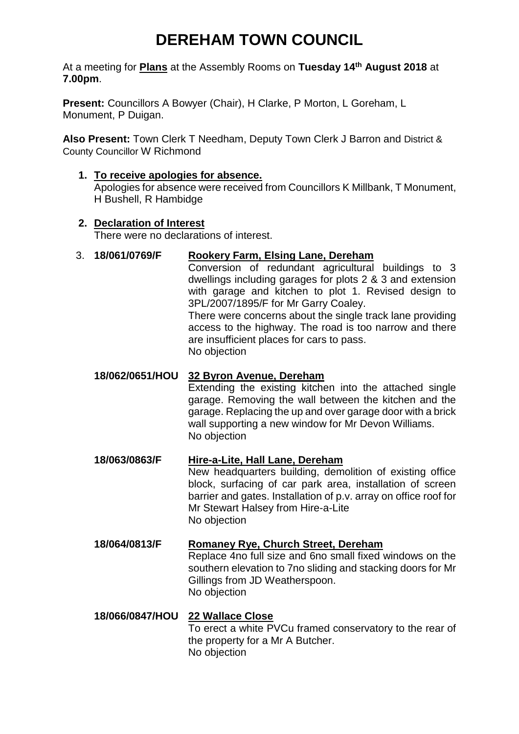# **DEREHAM TOWN COUNCIL**

At a meeting for **Plans** at the Assembly Rooms on **Tuesday 14th August 2018** at **7.00pm**.

**Present:** Councillors A Bowyer (Chair), H Clarke, P Morton, L Goreham, L Monument, P Duigan.

**Also Present:** Town Clerk T Needham, Deputy Town Clerk J Barron and District & County Councillor W Richmond

**1. To receive apologies for absence.**  Apologies for absence were received from Councillors K Millbank, T Monument, H Bushell, R Hambidge

## **2. Declaration of Interest**

There were no declarations of interest.

## 3. **18/061/0769/F Rookery Farm, Elsing Lane, Dereham**

Conversion of redundant agricultural buildings to 3 dwellings including garages for plots 2 & 3 and extension with garage and kitchen to plot 1. Revised design to 3PL/2007/1895/F for Mr Garry Coaley.

There were concerns about the single track lane providing access to the highway. The road is too narrow and there are insufficient places for cars to pass. No objection

# **18/062/0651/HOU 32 Byron Avenue, Dereham**

Extending the existing kitchen into the attached single garage. Removing the wall between the kitchen and the garage. Replacing the up and over garage door with a brick wall supporting a new window for Mr Devon Williams. No objection

#### **18/063/0863/F Hire-a-Lite, Hall Lane, Dereham**

New headquarters building, demolition of existing office block, surfacing of car park area, installation of screen barrier and gates. Installation of p.v. array on office roof for Mr Stewart Halsey from Hire-a-Lite No objection

# **18/064/0813/F Romaney Rye, Church Street, Dereham**

Replace 4no full size and 6no small fixed windows on the southern elevation to 7no sliding and stacking doors for Mr Gillings from JD Weatherspoon. No objection

#### **18/066/0847/HOU 22 Wallace Close** To erect a white PVCu framed conservatory to the rear of the property for a Mr A Butcher. No objection